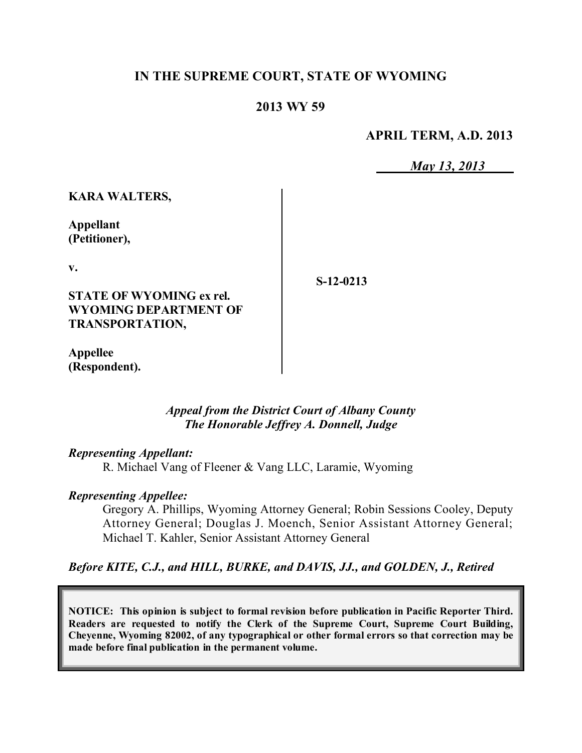## **IN THE SUPREME COURT, STATE OF WYOMING**

## **2013 WY 59**

**APRIL TERM, A.D. 2013**

*May 13, 2013*

**KARA WALTERS,**

**Appellant (Petitioner),**

**v.**

**S-12-0213**

**STATE OF WYOMING ex rel. WYOMING DEPARTMENT OF TRANSPORTATION,**

**Appellee (Respondent).**

> *Appeal from the District Court of Albany County The Honorable Jeffrey A. Donnell, Judge*

#### *Representing Appellant:*

R. Michael Vang of Fleener & Vang LLC, Laramie, Wyoming

### *Representing Appellee:*

Gregory A. Phillips, Wyoming Attorney General; Robin Sessions Cooley, Deputy Attorney General; Douglas J. Moench, Senior Assistant Attorney General; Michael T. Kahler, Senior Assistant Attorney General

*Before KITE, C.J., and HILL, BURKE, and DAVIS, JJ., and GOLDEN, J., Retired*

**NOTICE: This opinion is subject to formal revision before publication in Pacific Reporter Third. Readers are requested to notify the Clerk of the Supreme Court, Supreme Court Building, Cheyenne, Wyoming 82002, of any typographical or other formal errors so that correction may be made before final publication in the permanent volume.**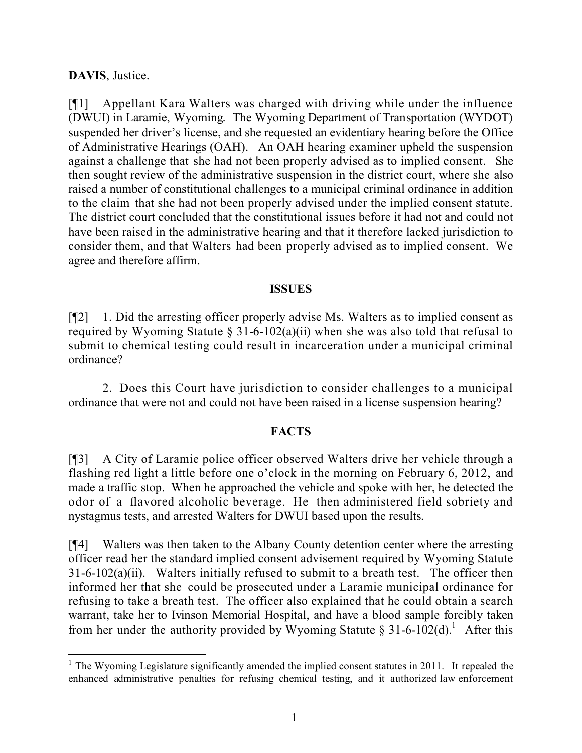**DAVIS**, Justice.

 $\overline{a}$ 

[¶1] Appellant Kara Walters was charged with driving while under the influence (DWUI) in Laramie, Wyoming. The Wyoming Department of Transportation (WYDOT) suspended her driver's license, and she requested an evidentiary hearing before the Office of Administrative Hearings (OAH). An OAH hearing examiner upheld the suspension against a challenge that she had not been properly advised as to implied consent. She then sought review of the administrative suspension in the district court, where she also raised a number of constitutional challenges to a municipal criminal ordinance in addition to the claim that she had not been properly advised under the implied consent statute. The district court concluded that the constitutional issues before it had not and could not have been raised in the administrative hearing and that it therefore lacked jurisdiction to consider them, and that Walters had been properly advised as to implied consent. We agree and therefore affirm.

### **ISSUES**

[¶2] 1. Did the arresting officer properly advise Ms. Walters as to implied consent as required by Wyoming Statute  $\S 31-6-102(a)(ii)$  when she was also told that refusal to submit to chemical testing could result in incarceration under a municipal criminal ordinance?

2. Does this Court have jurisdiction to consider challenges to a municipal ordinance that were not and could not have been raised in a license suspension hearing?

## **FACTS**

[¶3] A City of Laramie police officer observed Walters drive her vehicle through a flashing red light a little before one o'clock in the morning on February 6, 2012, and made a traffic stop. When he approached the vehicle and spoke with her, he detected the odor of a flavored alcoholic beverage. He then administered field sobriety and nystagmus tests, and arrested Walters for DWUI based upon the results.

[¶4] Walters was then taken to the Albany County detention center where the arresting officer read her the standard implied consent advisement required by Wyoming Statute  $31-6-102(a)(ii)$ . Walters initially refused to submit to a breath test. The officer then informed her that she could be prosecuted under a Laramie municipal ordinance for refusing to take a breath test. The officer also explained that he could obtain a search warrant, take her to Ivinson Memorial Hospital, and have a blood sample forcibly taken from her under the authority provided by Wyoming Statute  $\S 31-6-102$ (d).<sup>1</sup> After this

<sup>&</sup>lt;sup>1</sup> The Wyoming Legislature significantly amended the implied consent statutes in 2011. It repealed the enhanced administrative penalties for refusing chemical testing, and it authorized law enforcement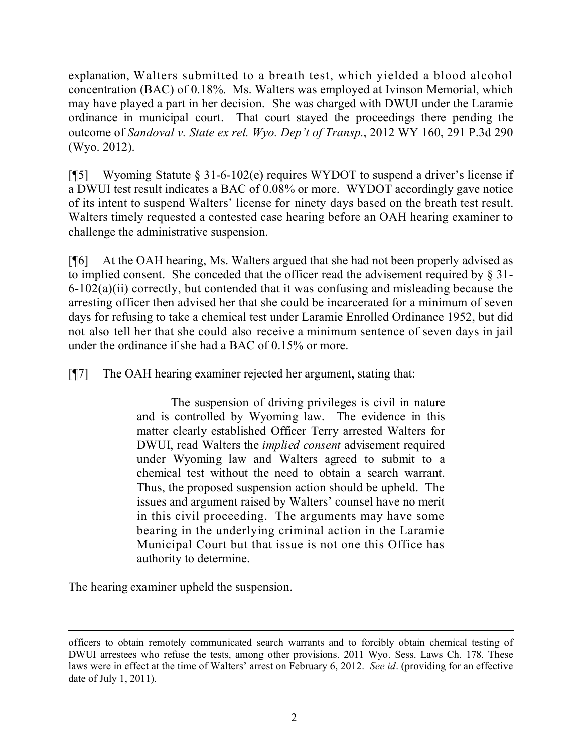explanation, Walters submitted to a breath test, which yielded a blood alcohol concentration (BAC) of 0.18%. Ms. Walters was employed at Ivinson Memorial, which may have played a part in her decision. She was charged with DWUI under the Laramie ordinance in municipal court. That court stayed the proceedings there pending the outcome of *Sandoval v. State ex rel. Wyo. Dep't of Transp.*, 2012 WY 160, 291 P.3d 290 (Wyo. 2012).

[¶5] Wyoming Statute § 31-6-102(e) requires WYDOT to suspend a driver's license if a DWUI test result indicates a BAC of 0.08% or more. WYDOT accordingly gave notice of its intent to suspend Walters' license for ninety days based on the breath test result. Walters timely requested a contested case hearing before an OAH hearing examiner to challenge the administrative suspension.

[¶6] At the OAH hearing, Ms. Walters argued that she had not been properly advised as to implied consent. She conceded that the officer read the advisement required by § 31- 6-102(a)(ii) correctly, but contended that it was confusing and misleading because the arresting officer then advised her that she could be incarcerated for a minimum of seven days for refusing to take a chemical test under Laramie Enrolled Ordinance 1952, but did not also tell her that she could also receive a minimum sentence of seven days in jail under the ordinance if she had a BAC of 0.15% or more.

[¶7] The OAH hearing examiner rejected her argument, stating that:

The suspension of driving privileges is civil in nature and is controlled by Wyoming law. The evidence in this matter clearly established Officer Terry arrested Walters for DWUI, read Walters the *implied consent* advisement required under Wyoming law and Walters agreed to submit to a chemical test without the need to obtain a search warrant. Thus, the proposed suspension action should be upheld. The issues and argument raised by Walters' counsel have no merit in this civil proceeding. The arguments may have some bearing in the underlying criminal action in the Laramie Municipal Court but that issue is not one this Office has authority to determine.

The hearing examiner upheld the suspension.

 $\overline{a}$ officers to obtain remotely communicated search warrants and to forcibly obtain chemical testing of DWUI arrestees who refuse the tests, among other provisions. 2011 Wyo. Sess. Laws Ch. 178. These laws were in effect at the time of Walters' arrest on February 6, 2012. *See id*. (providing for an effective date of July 1, 2011).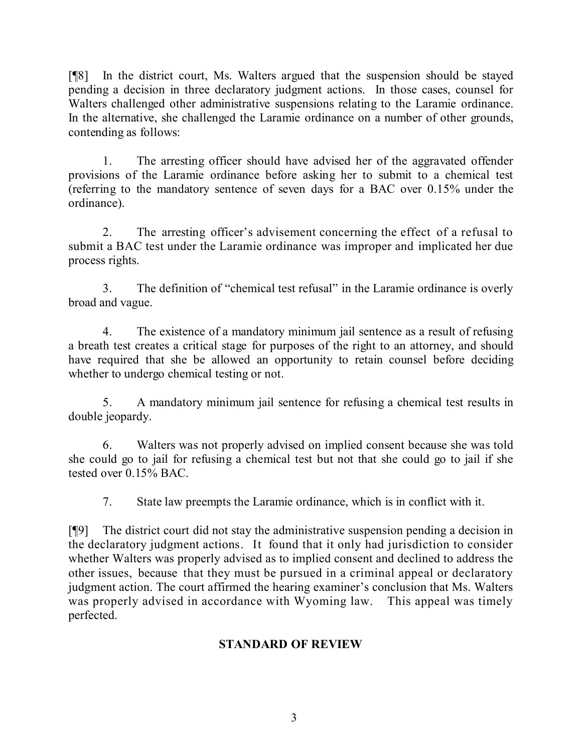[¶8] In the district court, Ms. Walters argued that the suspension should be stayed pending a decision in three declaratory judgment actions. In those cases, counsel for Walters challenged other administrative suspensions relating to the Laramie ordinance. In the alternative, she challenged the Laramie ordinance on a number of other grounds, contending as follows:

1. The arresting officer should have advised her of the aggravated offender provisions of the Laramie ordinance before asking her to submit to a chemical test (referring to the mandatory sentence of seven days for a BAC over 0.15% under the ordinance).

2. The arresting officer's advisement concerning the effect of a refusal to submit a BAC test under the Laramie ordinance was improper and implicated her due process rights.

3. The definition of "chemical test refusal" in the Laramie ordinance is overly broad and vague.

4. The existence of a mandatory minimum jail sentence as a result of refusing a breath test creates a critical stage for purposes of the right to an attorney, and should have required that she be allowed an opportunity to retain counsel before deciding whether to undergo chemical testing or not.

5. A mandatory minimum jail sentence for refusing a chemical test results in double jeopardy.

6. Walters was not properly advised on implied consent because she was told she could go to jail for refusing a chemical test but not that she could go to jail if she tested over 0.15% BAC.

7. State law preempts the Laramie ordinance, which is in conflict with it.

[¶9] The district court did not stay the administrative suspension pending a decision in the declaratory judgment actions. It found that it only had jurisdiction to consider whether Walters was properly advised as to implied consent and declined to address the other issues, because that they must be pursued in a criminal appeal or declaratory judgment action. The court affirmed the hearing examiner's conclusion that Ms. Walters was properly advised in accordance with Wyoming law. This appeal was timely perfected.

# **STANDARD OF REVIEW**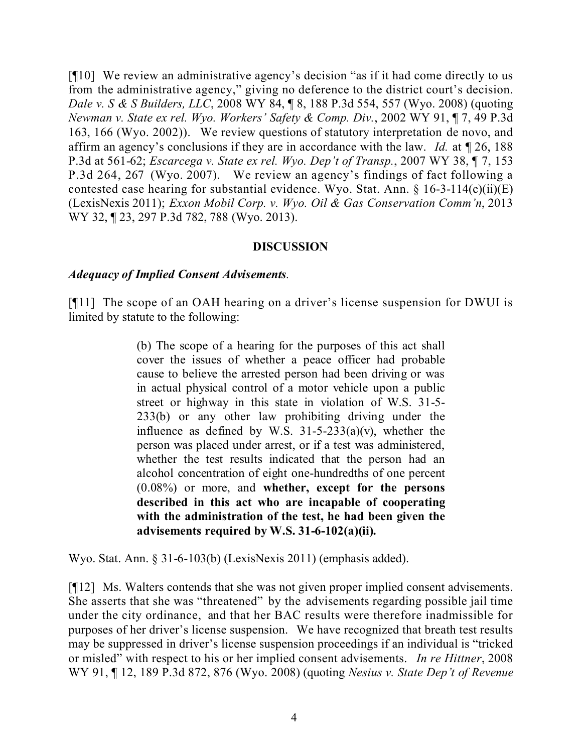[¶10] We review an administrative agency's decision "as if it had come directly to us from the administrative agency," giving no deference to the district court's decision. *Dale v. S & S Builders, LLC*, 2008 WY 84, ¶ 8, 188 P.3d 554, 557 (Wyo. 2008) (quoting *Newman v. State ex rel. Wyo. Workers' Safety & Comp. Div.*, 2002 WY 91, ¶ 7, 49 P.3d 163, 166 (Wyo. 2002)). We review questions of statutory interpretation de novo, and affirm an agency's conclusions if they are in accordance with the law. *Id.* at ¶ 26, 188 P.3d at 561-62; *Escarcega v. State ex rel. Wyo. Dep't of Transp.*, 2007 WY 38, ¶ 7, 153 P.3d 264, 267 (Wyo. 2007). We review an agency's findings of fact following a contested case hearing for substantial evidence. Wyo. Stat. Ann. § 16-3-114(c)(ii)(E) (LexisNexis 2011); *Exxon Mobil Corp. v. Wyo. Oil & Gas Conservation Comm'n*, 2013 WY 32, 123, 297 P.3d 782, 788 (Wyo. 2013).

### **DISCUSSION**

### *Adequacy of Implied Consent Advisements.*

[¶11] The scope of an OAH hearing on a driver's license suspension for DWUI is limited by statute to the following:

> (b) The scope of a hearing for the purposes of this act shall cover the issues of whether a peace officer had probable cause to believe the arrested person had been driving or was in actual physical control of a motor vehicle upon a public street or highway in this state in violation of W.S. 31-5- 233(b) or any other law prohibiting driving under the influence as defined by W.S.  $31-5-233(a)(v)$ , whether the person was placed under arrest, or if a test was administered, whether the test results indicated that the person had an alcohol concentration of eight one-hundredths of one percent (0.08%) or more, and **whether, except for the persons described in this act who are incapable of cooperating with the administration of the test, he had been given the advisements required by W.S. 31-6-102(a)(ii).**

Wyo. Stat. Ann. § 31-6-103(b) (LexisNexis 2011) (emphasis added).

[¶12] Ms. Walters contends that she was not given proper implied consent advisements. She asserts that she was "threatened" by the advisements regarding possible jail time under the city ordinance, and that her BAC results were therefore inadmissible for purposes of her driver's license suspension. We have recognized that breath test results may be suppressed in driver's license suspension proceedings if an individual is "tricked or misled" with respect to his or her implied consent advisements. *In re Hittner*, 2008 WY 91, ¶ 12, 189 P.3d 872, 876 (Wyo. 2008) (quoting *Nesius v. State Dep't of Revenue*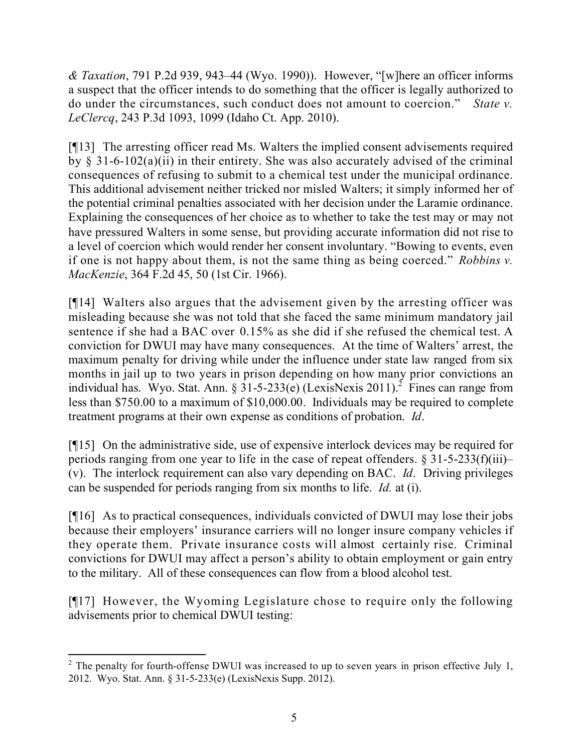*& Taxation*, 791 P.2d 939, 943–44 (Wyo. 1990)). However, "[w]here an officer informs a suspect that the officer intends to do something that the officer is legally authorized to do under the circumstances, such conduct does not amount to coercion." *State v. LeClercq*, 243 P.3d 1093, 1099 (Idaho Ct. App. 2010).

[¶13] The arresting officer read Ms. Walters the implied consent advisements required by  $\S$  31-6-102(a)(ii) in their entirety. She was also accurately advised of the criminal consequences of refusing to submit to a chemical test under the municipal ordinance. This additional advisement neither tricked nor misled Walters; it simply informed her of the potential criminal penalties associated with her decision under the Laramie ordinance. Explaining the consequences of her choice as to whether to take the test may or may not have pressured Walters in some sense, but providing accurate information did not rise to a level of coercion which would render her consent involuntary. "Bowing to events, even if one is not happy about them, is not the same thing as being coerced." *Robbins v. MacKenzie*, 364 F.2d 45, 50 (1st Cir. 1966).

[¶14] Walters also argues that the advisement given by the arresting officer was misleading because she was not told that she faced the same minimum mandatory jail sentence if she had a BAC over 0.15% as she did if she refused the chemical test. A conviction for DWUI may have many consequences. At the time of Walters' arrest, the maximum penalty for driving while under the influence under state law ranged from six months in jail up to two years in prison depending on how many prior convictions an individual has. Wyo. Stat. Ann. §  $31-5-233(e)$  (LexisNexis 2011).<sup>2</sup> Fines can range from less than \$750.00 to a maximum of \$10,000.00. Individuals may be required to complete treatment programs at their own expense as conditions of probation. *Id*.

[¶15] On the administrative side, use of expensive interlock devices may be required for periods ranging from one year to life in the case of repeat offenders.  $\S 31-5-233(f)(iii)$ – (v). The interlock requirement can also vary depending on BAC. *Id*. Driving privileges can be suspended for periods ranging from six months to life. *Id.* at (i).

[¶16] As to practical consequences, individuals convicted of DWUI may lose their jobs because their employers' insurance carriers will no longer insure company vehicles if they operate them. Private insurance costs will almost certainly rise. Criminal convictions for DWUI may affect a person's ability to obtain employment or gain entry to the military. All of these consequences can flow from a blood alcohol test.

[¶17] However, the Wyoming Legislature chose to require only the following advisements prior to chemical DWUI testing:

 $\overline{a}$ <sup>2</sup> The penalty for fourth-offense DWUI was increased to up to seven years in prison effective July 1, 2012. Wyo. Stat. Ann. § 31-5-233(e) (LexisNexis Supp. 2012).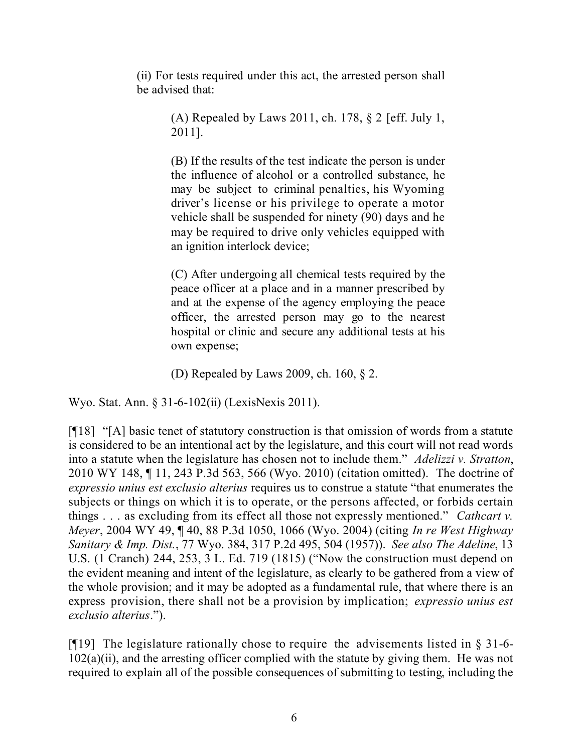(ii) For tests required under this act, the arrested person shall be advised that:

> (A) Repealed by Laws 2011, ch. 178, § 2 [eff. July 1, 2011].

> (B) If the results of the test indicate the person is under the influence of alcohol or a controlled substance, he may be subject to criminal penalties, his Wyoming driver's license or his privilege to operate a motor vehicle shall be suspended for ninety (90) days and he may be required to drive only vehicles equipped with an ignition interlock device;

> (C) After undergoing all chemical tests required by the peace officer at a place and in a manner prescribed by and at the expense of the agency employing the peace officer, the arrested person may go to the nearest hospital or clinic and secure any additional tests at his own expense;

(D) Repealed by Laws 2009, ch. 160, § 2.

Wyo. Stat. Ann. § 31-6-102(ii) (LexisNexis 2011).

[¶18] "[A] basic tenet of statutory construction is that omission of words from a statute is considered to be an intentional act by the legislature, and this court will not read words into a statute when the legislature has chosen not to include them." *Adelizzi v. Stratton*, 2010 WY 148, ¶ 11, 243 P.3d 563, 566 (Wyo. 2010) (citation omitted). The doctrine of *expressio unius est exclusio alterius* requires us to construe a statute "that enumerates the subjects or things on which it is to operate, or the persons affected, or forbids certain things . . . as excluding from its effect all those not expressly mentioned." *Cathcart v. Meyer*, 2004 WY 49, ¶ 40, 88 P.3d 1050, 1066 (Wyo. 2004) (citing *In re West Highway Sanitary & Imp. Dist.*, 77 Wyo. 384, 317 P.2d 495, 504 (1957)). *See also The Adeline*, 13 U.S. (1 Cranch) 244, 253, 3 L. Ed. 719 (1815) ("Now the construction must depend on the evident meaning and intent of the legislature, as clearly to be gathered from a view of the whole provision; and it may be adopted as a fundamental rule, that where there is an express provision, there shall not be a provision by implication; *expressio unius est exclusio alterius*.").

[ $[$ [19] The legislature rationally chose to require the advisements listed in  $\S$  31-6-102(a)(ii), and the arresting officer complied with the statute by giving them. He was not required to explain all of the possible consequences of submitting to testing, including the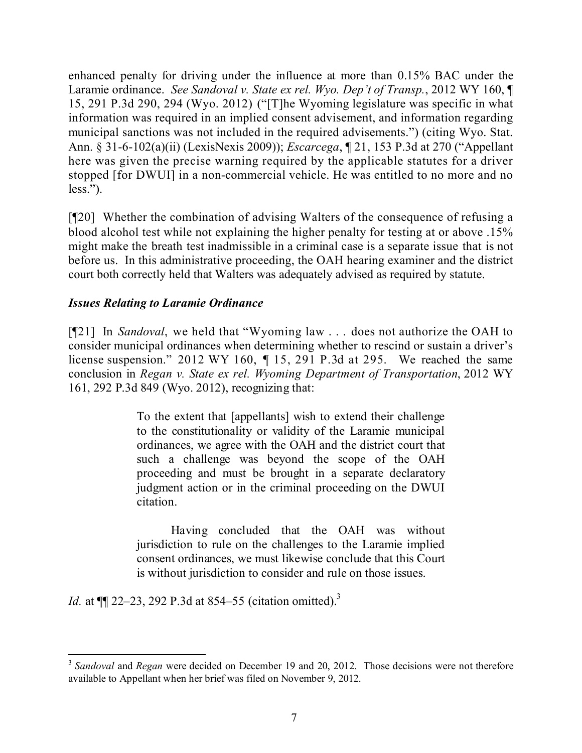enhanced penalty for driving under the influence at more than 0.15% BAC under the Laramie ordinance. *See Sandoval v. State ex rel. Wyo. Dep't of Transp.*, 2012 WY 160, ¶ 15, 291 P.3d 290, 294 (Wyo. 2012) ("[T]he Wyoming legislature was specific in what information was required in an implied consent advisement, and information regarding municipal sanctions was not included in the required advisements.") (citing Wyo. Stat. Ann. § 31-6-102(a)(ii) (LexisNexis 2009)); *Escarcega*, ¶ 21, 153 P.3d at 270 ("Appellant here was given the precise warning required by the applicable statutes for a driver stopped [for DWUI] in a non-commercial vehicle. He was entitled to no more and no less.").

[¶20] Whether the combination of advising Walters of the consequence of refusing a blood alcohol test while not explaining the higher penalty for testing at or above .15% might make the breath test inadmissible in a criminal case is a separate issue that is not before us. In this administrative proceeding, the OAH hearing examiner and the district court both correctly held that Walters was adequately advised as required by statute.

## *Issues Relating to Laramie Ordinance*

[¶21] In *Sandoval*, we held that "Wyoming law . . . does not authorize the OAH to consider municipal ordinances when determining whether to rescind or sustain a driver's license suspension." 2012 WY 160, ¶ 15, 291 P.3d at 295. We reached the same conclusion in *Regan v. State ex rel. Wyoming Department of Transportation*, 2012 WY 161, 292 P.3d 849 (Wyo. 2012), recognizing that:

> To the extent that [appellants] wish to extend their challenge to the constitutionality or validity of the Laramie municipal ordinances, we agree with the OAH and the district court that such a challenge was beyond the scope of the OAH proceeding and must be brought in a separate declaratory judgment action or in the criminal proceeding on the DWUI citation.

> Having concluded that the OAH was without jurisdiction to rule on the challenges to the Laramie implied consent ordinances, we must likewise conclude that this Court is without jurisdiction to consider and rule on those issues.

*Id.* at  $\P$  22–23, 292 P.3d at 854–55 (citation omitted).<sup>3</sup>

 $\overline{a}$ <sup>3</sup> Sandoval and *Regan* were decided on December 19 and 20, 2012. Those decisions were not therefore available to Appellant when her brief was filed on November 9, 2012.